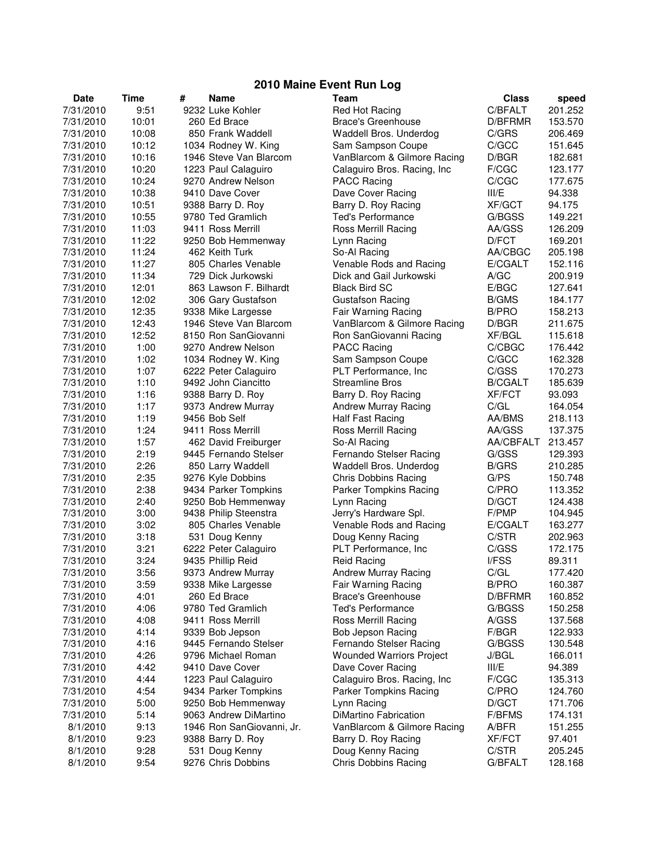## **2010 Maine Event Run Log**

| <b>Date</b> | Time  | # | <b>Name</b>               | <b>Team</b>                     | <b>Class</b>   | speed             |
|-------------|-------|---|---------------------------|---------------------------------|----------------|-------------------|
| 7/31/2010   | 9:51  |   | 9232 Luke Kohler          | Red Hot Racing                  | C/BFALT        | 201.252           |
| 7/31/2010   | 10:01 |   | 260 Ed Brace              | <b>Brace's Greenhouse</b>       | D/BFRMR        | 153.570           |
| 7/31/2010   | 10:08 |   | 850 Frank Waddell         | Waddell Bros. Underdog          | C/GRS          | 206.469           |
| 7/31/2010   | 10:12 |   | 1034 Rodney W. King       | Sam Sampson Coupe               | C/GCC          | 151.645           |
| 7/31/2010   | 10:16 |   | 1946 Steve Van Blarcom    | VanBlarcom & Gilmore Racing     | D/BGR          | 182.681           |
| 7/31/2010   | 10:20 |   | 1223 Paul Calaguiro       | Calaguiro Bros. Racing, Inc     | F/CGC          | 123.177           |
| 7/31/2010   | 10:24 |   | 9270 Andrew Nelson        | <b>PACC Racing</b>              | C/CGC          | 177.675           |
| 7/31/2010   | 10:38 |   | 9410 Dave Cover           | Dave Cover Racing               | III/E          | 94.338            |
| 7/31/2010   | 10:51 |   | 9388 Barry D. Roy         | Barry D. Roy Racing             | <b>XF/GCT</b>  | 94.175            |
| 7/31/2010   | 10:55 |   | 9780 Ted Gramlich         | <b>Ted's Performance</b>        | G/BGSS         | 149.221           |
| 7/31/2010   | 11:03 |   | 9411 Ross Merrill         | Ross Merrill Racing             | AA/GSS         | 126.209           |
| 7/31/2010   | 11:22 |   | 9250 Bob Hemmenway        | Lynn Racing                     | D/FCT          | 169.201           |
| 7/31/2010   | 11:24 |   | 462 Keith Turk            | So-Al Racing                    | AA/CBGC        | 205.198           |
| 7/31/2010   | 11:27 |   | 805 Charles Venable       | Venable Rods and Racing         | E/CGALT        | 152.116           |
| 7/31/2010   | 11:34 |   | 729 Dick Jurkowski        | Dick and Gail Jurkowski         | A/GC           | 200.919           |
| 7/31/2010   | 12:01 |   | 863 Lawson F. Bilhardt    | <b>Black Bird SC</b>            | E/BGC          | 127.641           |
| 7/31/2010   | 12:02 |   | 306 Gary Gustafson        | <b>Gustafson Racing</b>         | <b>B/GMS</b>   | 184.177           |
| 7/31/2010   | 12:35 |   | 9338 Mike Largesse        | Fair Warning Racing             | <b>B/PRO</b>   | 158.213           |
| 7/31/2010   | 12:43 |   | 1946 Steve Van Blarcom    | VanBlarcom & Gilmore Racing     | D/BGR          | 211.675           |
| 7/31/2010   | 12:52 |   | 8150 Ron SanGiovanni      | Ron SanGiovanni Racing          | XF/BGL         | 115.618           |
| 7/31/2010   | 1:00  |   | 9270 Andrew Nelson        | <b>PACC Racing</b>              | C/CBGC         | 176.442           |
| 7/31/2010   | 1:02  |   | 1034 Rodney W. King       | Sam Sampson Coupe               | C/GCC          | 162.328           |
| 7/31/2010   | 1:07  |   | 6222 Peter Calaguiro      | PLT Performance, Inc            | C/GSS          | 170.273           |
| 7/31/2010   | 1:10  |   | 9492 John Ciancitto       | <b>Streamline Bros</b>          | <b>B/CGALT</b> |                   |
|             |       |   |                           |                                 | <b>XF/FCT</b>  | 185.639<br>93.093 |
| 7/31/2010   | 1:16  |   | 9388 Barry D. Roy         | Barry D. Roy Racing             |                |                   |
| 7/31/2010   | 1:17  |   | 9373 Andrew Murray        | <b>Andrew Murray Racing</b>     | C/GL           | 164.054           |
| 7/31/2010   | 1:19  |   | 9456 Bob Self             | Half Fast Racing                | AA/BMS         | 218.113           |
| 7/31/2010   | 1:24  |   | 9411 Ross Merrill         | Ross Merrill Racing             | AA/GSS         | 137.375           |
| 7/31/2010   | 1:57  |   | 462 David Freiburger      | So-Al Racing                    | AA/CBFALT      | 213.457           |
| 7/31/2010   | 2:19  |   | 9445 Fernando Stelser     | Fernando Stelser Racing         | G/GSS          | 129.393           |
| 7/31/2010   | 2:26  |   | 850 Larry Waddell         | Waddell Bros. Underdog          | <b>B/GRS</b>   | 210.285           |
| 7/31/2010   | 2:35  |   | 9276 Kyle Dobbins         | Chris Dobbins Racing            | G/PS           | 150.748           |
| 7/31/2010   | 2:38  |   | 9434 Parker Tompkins      | Parker Tompkins Racing          | C/PRO          | 113.352           |
| 7/31/2010   | 2:40  |   | 9250 Bob Hemmenway        | Lynn Racing                     | D/GCT          | 124.438           |
| 7/31/2010   | 3:00  |   | 9438 Philip Steenstra     | Jerry's Hardware Spl.           | F/PMP          | 104.945           |
| 7/31/2010   | 3:02  |   | 805 Charles Venable       | Venable Rods and Racing         | E/CGALT        | 163.277           |
| 7/31/2010   | 3:18  |   | 531 Doug Kenny            | Doug Kenny Racing               | C/STR          | 202.963           |
| 7/31/2010   | 3:21  |   | 6222 Peter Calaguiro      | PLT Performance, Inc            | C/GSS          | 172.175           |
| 7/31/2010   | 3:24  |   | 9435 Phillip Reid         | Reid Racing                     | I/FSS          | 89.311            |
| 7/31/2010   | 3:56  |   | 9373 Andrew Murray        | Andrew Murray Racing            | C/GL           | 177.420           |
| 7/31/2010   | 3:59  |   | 9338 Mike Largesse        | Fair Warning Racing             | <b>B/PRO</b>   | 160.387           |
| 7/31/2010   | 4:01  |   | 260 Ed Brace              | <b>Brace's Greenhouse</b>       | D/BFRMR        | 160.852           |
| 7/31/2010   | 4:06  |   | 9780 Ted Gramlich         | <b>Ted's Performance</b>        | G/BGSS         | 150.258           |
| 7/31/2010   | 4:08  |   | 9411 Ross Merrill         | Ross Merrill Racing             | A/GSS          | 137.568           |
| 7/31/2010   | 4:14  |   | 9339 Bob Jepson           | Bob Jepson Racing               | F/BGR          | 122.933           |
| 7/31/2010   | 4:16  |   | 9445 Fernando Stelser     | Fernando Stelser Racing         | G/BGSS         | 130.548           |
| 7/31/2010   | 4:26  |   | 9796 Michael Roman        | <b>Wounded Warriors Project</b> | J/BGL          | 166.011           |
| 7/31/2010   | 4:42  |   | 9410 Dave Cover           | Dave Cover Racing               | III/E          | 94.389            |
| 7/31/2010   | 4:44  |   | 1223 Paul Calaguiro       | Calaguiro Bros. Racing, Inc.    | F/CGC          | 135.313           |
| 7/31/2010   | 4:54  |   | 9434 Parker Tompkins      | Parker Tompkins Racing          | C/PRO          | 124.760           |
| 7/31/2010   | 5:00  |   | 9250 Bob Hemmenway        | Lynn Racing                     | D/GCT          | 171.706           |
| 7/31/2010   | 5:14  |   | 9063 Andrew DiMartino     | DiMartino Fabrication           | <b>F/BFMS</b>  | 174.131           |
| 8/1/2010    | 9:13  |   | 1946 Ron SanGiovanni, Jr. | VanBlarcom & Gilmore Racing     | A/BFR          | 151.255           |
| 8/1/2010    | 9:23  |   | 9388 Barry D. Roy         | Barry D. Roy Racing             | <b>XF/FCT</b>  | 97.401            |
| 8/1/2010    | 9:28  |   | 531 Doug Kenny            | Doug Kenny Racing               | C/STR          | 205.245           |
| 8/1/2010    | 9:54  |   | 9276 Chris Dobbins        | Chris Dobbins Racing            | G/BFALT        | 128.168           |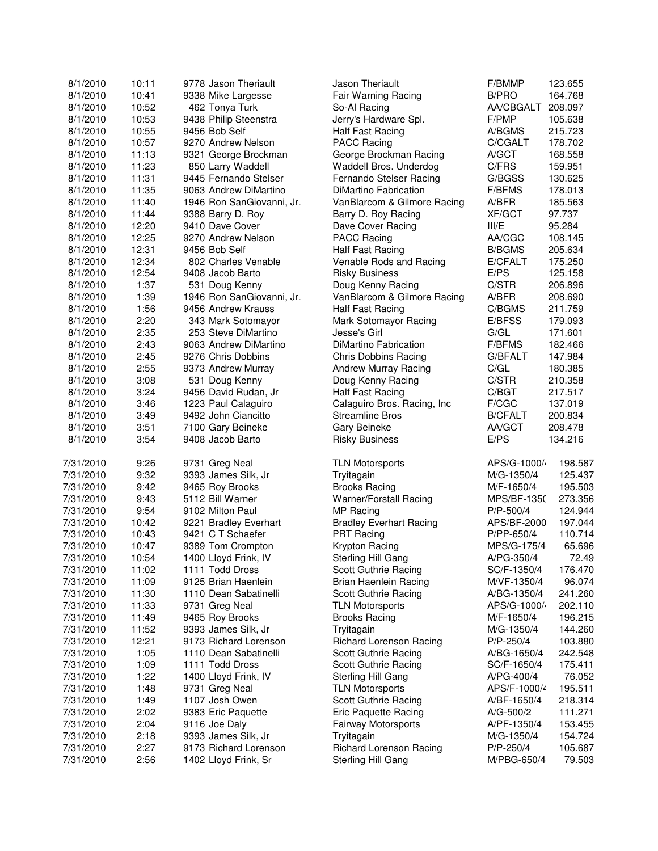| 8/1/2010  | 10:11        | 9778 Jason Theriault      | Jason Theriault                | F/BMMP             | 123.655 |
|-----------|--------------|---------------------------|--------------------------------|--------------------|---------|
| 8/1/2010  | 10:41        | 9338 Mike Largesse        | Fair Warning Racing            | <b>B/PRO</b>       | 164.768 |
| 8/1/2010  | 10:52        | 462 Tonya Turk            | So-Al Racing                   | AA/CBGALT 208.097  |         |
| 8/1/2010  | 10:53        | 9438 Philip Steenstra     | Jerry's Hardware Spl.          | F/PMP              | 105.638 |
| 8/1/2010  | 10:55        | 9456 Bob Self             | Half Fast Racing               | A/BGMS             | 215.723 |
| 8/1/2010  | 10:57        | 9270 Andrew Nelson        | <b>PACC Racing</b>             | C/CGALT            | 178.702 |
| 8/1/2010  | 11:13        | 9321 George Brockman      | George Brockman Racing         | A/GCT              | 168.558 |
| 8/1/2010  | 11:23        | 850 Larry Waddell         | Waddell Bros. Underdog         | C/FRS              | 159.951 |
| 8/1/2010  | 11:31        | 9445 Fernando Stelser     | Fernando Stelser Racing        | G/BGSS             | 130.625 |
| 8/1/2010  | 11:35        | 9063 Andrew DiMartino     | DiMartino Fabrication          | <b>F/BFMS</b>      | 178.013 |
| 8/1/2010  | 11:40        | 1946 Ron SanGiovanni, Jr. | VanBlarcom & Gilmore Racing    | A/BFR              | 185.563 |
| 8/1/2010  | 11:44        | 9388 Barry D. Roy         | Barry D. Roy Racing            | <b>XF/GCT</b>      | 97.737  |
|           | 12:20        | 9410 Dave Cover           | Dave Cover Racing              | III/E              |         |
| 8/1/2010  |              |                           |                                |                    | 95.284  |
| 8/1/2010  | 12:25        | 9270 Andrew Nelson        | <b>PACC Racing</b>             | AA/CGC             | 108.145 |
| 8/1/2010  | 12:31        | 9456 Bob Self             | Half Fast Racing               | <b>B/BGMS</b>      | 205.634 |
| 8/1/2010  | 12:34        | 802 Charles Venable       | Venable Rods and Racing        | E/CFALT            | 175.250 |
| 8/1/2010  | 12:54        | 9408 Jacob Barto          | <b>Risky Business</b>          | E/PS               | 125.158 |
| 8/1/2010  | 1:37         | 531 Doug Kenny            | Doug Kenny Racing              | C/STR              | 206.896 |
| 8/1/2010  | 1:39         | 1946 Ron SanGiovanni, Jr. | VanBlarcom & Gilmore Racing    | A/BFR              | 208.690 |
| 8/1/2010  | 1:56         | 9456 Andrew Krauss        | Half Fast Racing               | C/BGMS             | 211.759 |
| 8/1/2010  | 2:20         | 343 Mark Sotomayor        | Mark Sotomayor Racing          | E/BFSS             | 179.093 |
| 8/1/2010  | 2:35         | 253 Steve DiMartino       | Jesse's Girl                   | G/GL               | 171.601 |
| 8/1/2010  | 2:43         | 9063 Andrew DiMartino     | DiMartino Fabrication          | F/BFMS             | 182.466 |
| 8/1/2010  | 2:45         | 9276 Chris Dobbins        | Chris Dobbins Racing           | G/BFALT            | 147.984 |
| 8/1/2010  | 2:55         | 9373 Andrew Murray        | Andrew Murray Racing           | C/GL               | 180.385 |
| 8/1/2010  | 3:08         | 531 Doug Kenny            | Doug Kenny Racing              | C/STR              | 210.358 |
| 8/1/2010  | 3:24         | 9456 David Rudan, Jr      | <b>Half Fast Racing</b>        | C/BGT              | 217.517 |
| 8/1/2010  | 3:46         | 1223 Paul Calaguiro       | Calaguiro Bros. Racing, Inc    | F/CGC              | 137.019 |
| 8/1/2010  | 3:49         | 9492 John Ciancitto       | <b>Streamline Bros</b>         | <b>B/CFALT</b>     | 200.834 |
| 8/1/2010  | 3:51         | 7100 Gary Beineke         | Gary Beineke                   | AA/GCT             | 208.478 |
| 8/1/2010  | 3:54         | 9408 Jacob Barto          | <b>Risky Business</b>          | E/PS               | 134.216 |
| 7/31/2010 | 9:26         | 9731 Greg Neal            | <b>TLN Motorsports</b>         | APS/G-1000/        | 198.587 |
| 7/31/2010 | 9:32         | 9393 James Silk, Jr       | Tryitagain                     | M/G-1350/4         | 125.437 |
| 7/31/2010 | 9:42         | 9465 Roy Brooks           | <b>Brooks Racing</b>           | M/F-1650/4         | 195.503 |
| 7/31/2010 | 9:43         | 5112 Bill Warner          | Warner/Forstall Racing         | <b>MPS/BF-1350</b> | 273.356 |
| 7/31/2010 | 9:54         | 9102 Milton Paul          | <b>MP Racing</b>               | P/P-500/4          | 124.944 |
| 7/31/2010 | 10:42        | 9221 Bradley Everhart     | <b>Bradley Everhart Racing</b> | APS/BF-2000        | 197.044 |
| 7/31/2010 | 10:43        | 9421 C T Schaefer         | PRT Racing                     | P/PP-650/4         | 110.714 |
| 7/31/2010 | 10:47        | 9389 Tom Crompton         | Krypton Racing                 | MPS/G-175/4        | 65.696  |
| 7/31/2010 | 10:54        | 1400 Lloyd Frink, IV      | Sterling Hill Gang             | A/PG-350/4         | 72.49   |
| 7/31/2010 | 11:02        | 1111 Todd Dross           | Scott Guthrie Racing           | SC/F-1350/4        | 176.470 |
| 7/31/2010 | 11:09        | 9125 Brian Haenlein       | Brian Haenlein Racing          | M/VF-1350/4        | 96.074  |
| 7/31/2010 | 11:30        | 1110 Dean Sabatinelli     | Scott Guthrie Racing           | A/BG-1350/4        | 241.260 |
| 7/31/2010 | 11:33        | 9731 Greg Neal            | <b>TLN Motorsports</b>         | APS/G-1000/        | 202.110 |
| 7/31/2010 | 11:49        | 9465 Roy Brooks           | <b>Brooks Racing</b>           | M/F-1650/4         | 196.215 |
| 7/31/2010 | 11:52        | 9393 James Silk, Jr       | Tryitagain                     | M/G-1350/4         | 144.260 |
| 7/31/2010 | 12:21        | 9173 Richard Lorenson     | <b>Richard Lorenson Racing</b> | $P/P - 250/4$      | 103.880 |
| 7/31/2010 | 1:05         | 1110 Dean Sabatinelli     | Scott Guthrie Racing           | A/BG-1650/4        | 242.548 |
| 7/31/2010 |              |                           |                                |                    | 175.411 |
| 7/31/2010 | 1:09<br>1:22 | 1111 Todd Dross           | Scott Guthrie Racing           | SC/F-1650/4        |         |
|           |              | 1400 Lloyd Frink, IV      | Sterling Hill Gang             | A/PG-400/4         | 76.052  |
| 7/31/2010 | 1:48         | 9731 Greg Neal            | <b>TLN Motorsports</b>         | APS/F-1000/4       | 195.511 |
| 7/31/2010 | 1:49         | 1107 Josh Owen            | Scott Guthrie Racing           | A/BF-1650/4        | 218.314 |
| 7/31/2010 | 2:02         | 9383 Eric Paquette        | Eric Paquette Racing           | A/G-500/2          | 111.271 |
| 7/31/2010 | 2:04         | 9116 Joe Daly             | <b>Fairway Motorsports</b>     | A/PF-1350/4        | 153.455 |
| 7/31/2010 | 2:18         | 9393 James Silk, Jr       | Tryitagain                     | M/G-1350/4         | 154.724 |
| 7/31/2010 | 2:27         | 9173 Richard Lorenson     | <b>Richard Lorenson Racing</b> | P/P-250/4          | 105.687 |
| 7/31/2010 | 2:56         | 1402 Lloyd Frink, Sr      | Sterling Hill Gang             | M/PBG-650/4        | 79.503  |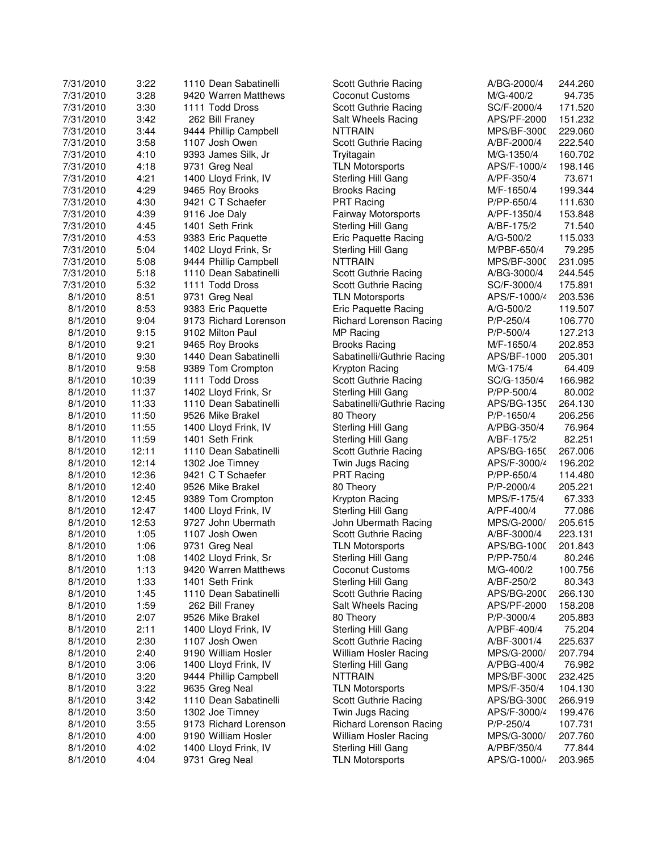| 7/31/2010 | 3:22           | 1110 Dean Sabatinelli                   | Scott Guthrie Racing           | A/BG-2000/4        | 244.260          |
|-----------|----------------|-----------------------------------------|--------------------------------|--------------------|------------------|
| 7/31/2010 | 3:28           | 9420 Warren Matthews                    | Coconut Customs                | M/G-400/2          | 94.735           |
| 7/31/2010 | 3:30           | 1111 Todd Dross                         | Scott Guthrie Racing           | SC/F-2000/4        | 171.520          |
| 7/31/2010 | 3:42           | 262 Bill Franey                         | Salt Wheels Racing             | APS/PF-2000        | 151.232          |
| 7/31/2010 | 3:44           | 9444 Phillip Campbell                   | <b>NTTRAIN</b>                 | MPS/BF-3000        | 229.060          |
| 7/31/2010 | 3:58           | 1107 Josh Owen                          | Scott Guthrie Racing           | A/BF-2000/4        | 222.540          |
| 7/31/2010 | 4:10           | 9393 James Silk, Jr                     | Tryitagain                     | M/G-1350/4         | 160.702          |
| 7/31/2010 | 4:18           | 9731 Greg Neal                          | <b>TLN Motorsports</b>         | APS/F-1000/4       | 198.146          |
| 7/31/2010 | 4:21           | 1400 Lloyd Frink, IV                    | Sterling Hill Gang             | A/PF-350/4         | 73.671           |
| 7/31/2010 | 4:29           | 9465 Roy Brooks                         | <b>Brooks Racing</b>           | M/F-1650/4         | 199.344          |
| 7/31/2010 | 4:30           | 9421 C T Schaefer                       | <b>PRT Racing</b>              | P/PP-650/4         | 111.630          |
| 7/31/2010 | 4:39           | 9116 Joe Daly                           | Fairway Motorsports            | A/PF-1350/4        | 153.848          |
| 7/31/2010 | 4:45           | 1401 Seth Frink                         | Sterling Hill Gang             | A/BF-175/2         | 71.540           |
| 7/31/2010 | 4:53           | 9383 Eric Paquette                      | Eric Paquette Racing           | A/G-500/2          | 115.033          |
| 7/31/2010 | 5:04           | 1402 Lloyd Frink, Sr                    | Sterling Hill Gang             | M/PBF-650/4        | 79.295           |
| 7/31/2010 | 5:08           | 9444 Phillip Campbell                   | <b>NTTRAIN</b>                 | <b>MPS/BF-3000</b> | 231.095          |
| 7/31/2010 | 5:18           | 1110 Dean Sabatinelli                   | Scott Guthrie Racing           | A/BG-3000/4        | 244.545          |
| 7/31/2010 | 5:32           | 1111 Todd Dross                         | Scott Guthrie Racing           | SC/F-3000/4        | 175.891          |
| 8/1/2010  | 8:51           | 9731 Greg Neal                          | <b>TLN Motorsports</b>         | APS/F-1000/4       | 203.536          |
| 8/1/2010  | 8:53           | 9383 Eric Paquette                      | Eric Paquette Racing           | A/G-500/2          | 119.507          |
| 8/1/2010  | 9:04           | 9173 Richard Lorenson                   | <b>Richard Lorenson Racing</b> | P/P-250/4          | 106.770          |
| 8/1/2010  | 9:15           | 9102 Milton Paul                        | MP Racing                      | P/P-500/4          | 127.213          |
| 8/1/2010  | 9:21           | 9465 Roy Brooks                         | <b>Brooks Racing</b>           | M/F-1650/4         | 202.853          |
| 8/1/2010  | 9:30           | 1440 Dean Sabatinelli                   | Sabatinelli/Guthrie Racing     | APS/BF-1000        | 205.301          |
| 8/1/2010  | 9:58           | 9389 Tom Crompton                       | Krypton Racing                 | M/G-175/4          | 64.409           |
| 8/1/2010  | 10:39          | 1111 Todd Dross                         | Scott Guthrie Racing           | SC/G-1350/4        | 166.982          |
| 8/1/2010  | 11:37          | 1402 Lloyd Frink, Sr                    | Sterling Hill Gang             | P/PP-500/4         | 80.002           |
| 8/1/2010  | 11:33          | 1110 Dean Sabatinelli                   | Sabatinelli/Guthrie Racing     | APS/BG-1350        | 264.130          |
| 8/1/2010  | 11:50          | 9526 Mike Brakel                        | 80 Theory                      | P/P-1650/4         | 206.256          |
| 8/1/2010  |                |                                         |                                | A/PBG-350/4        |                  |
|           | 11:55<br>11:59 | 1400 Lloyd Frink, IV<br>1401 Seth Frink | Sterling Hill Gang             | A/BF-175/2         | 76.964<br>82.251 |
| 8/1/2010  |                |                                         | Sterling Hill Gang             |                    |                  |
| 8/1/2010  | 12:11<br>12:14 | 1110 Dean Sabatinelli                   | Scott Guthrie Racing           | APS/BG-1650        | 267.006          |
| 8/1/2010  |                | 1302 Joe Timney                         | Twin Jugs Racing               | APS/F-3000/4       | 196.202          |
| 8/1/2010  | 12:36          | 9421 C T Schaefer                       | <b>PRT Racing</b>              | P/PP-650/4         | 114.480          |
| 8/1/2010  | 12:40          | 9526 Mike Brakel                        | 80 Theory                      | P/P-2000/4         | 205.221          |
| 8/1/2010  | 12:45          | 9389 Tom Crompton                       | Krypton Racing                 | MPS/F-175/4        | 67.333           |
| 8/1/2010  | 12:47          | 1400 Lloyd Frink, IV                    | Sterling Hill Gang             | A/PF-400/4         | 77.086           |
| 8/1/2010  | 12:53          | 9727 John Ubermath                      | John Ubermath Racing           | MPS/G-2000/        | 205.615          |
| 8/1/2010  | 1:05           | 1107 Josh Owen                          | Scott Guthrie Racing           | A/BF-3000/4        | 223.131          |
| 8/1/2010  | 1:06           | 9731 Greg Neal                          | <b>TLN Motorsports</b>         | APS/BG-1000        | 201.843          |
| 8/1/2010  | 1:08           | 1402 Lloyd Frink, Sr                    | Sterling Hill Gang             | P/PP-750/4         | 80.246           |
| 8/1/2010  | 1:13           | 9420 Warren Matthews                    | Coconut Customs                | M/G-400/2          | 100.756          |
| 8/1/2010  | 1:33           | 1401 Seth Frink                         | Sterling Hill Gang             | A/BF-250/2         | 80.343           |
| 8/1/2010  | 1:45           | 1110 Dean Sabatinelli                   | Scott Guthrie Racing           | APS/BG-2000        | 266.130          |
| 8/1/2010  | 1:59           | 262 Bill Franey                         | Salt Wheels Racing             | APS/PF-2000        | 158.208          |
| 8/1/2010  | 2:07           | 9526 Mike Brakel                        | 80 Theory                      | P/P-3000/4         | 205.883          |
| 8/1/2010  | 2:11           | 1400 Lloyd Frink, IV                    | Sterling Hill Gang             | A/PBF-400/4        | 75.204           |
| 8/1/2010  | 2:30           | 1107 Josh Owen                          | Scott Guthrie Racing           | A/BF-3001/4        | 225.637          |
| 8/1/2010  | 2:40           | 9190 William Hosler                     | William Hosler Racing          | MPS/G-2000/        | 207.794          |
| 8/1/2010  | 3:06           | 1400 Lloyd Frink, IV                    | Sterling Hill Gang             | A/PBG-400/4        | 76.982           |
| 8/1/2010  | 3:20           | 9444 Phillip Campbell                   | <b>NTTRAIN</b>                 | MPS/BF-3000        | 232.425          |
| 8/1/2010  | 3:22           | 9635 Greg Neal                          | <b>TLN Motorsports</b>         | MPS/F-350/4        | 104.130          |
| 8/1/2010  | 3:42           | 1110 Dean Sabatinelli                   | Scott Guthrie Racing           | APS/BG-3000        | 266.919          |
| 8/1/2010  | 3:50           | 1302 Joe Timney                         | Twin Jugs Racing               | APS/F-3000/4       | 199.476          |
| 8/1/2010  | 3:55           | 9173 Richard Lorenson                   | Richard Lorenson Racing        | $P/P - 250/4$      | 107.731          |
| 8/1/2010  | 4:00           | 9190 William Hosler                     | William Hosler Racing          | MPS/G-3000/        | 207.760          |
| 8/1/2010  | 4:02           | 1400 Lloyd Frink, IV                    | Sterling Hill Gang             | A/PBF/350/4        | 77.844           |
| 8/1/2010  | 4:04           | 9731 Greg Neal                          | <b>TLN Motorsports</b>         | APS/G-1000/        | 203.965          |
|           |                |                                         |                                |                    |                  |